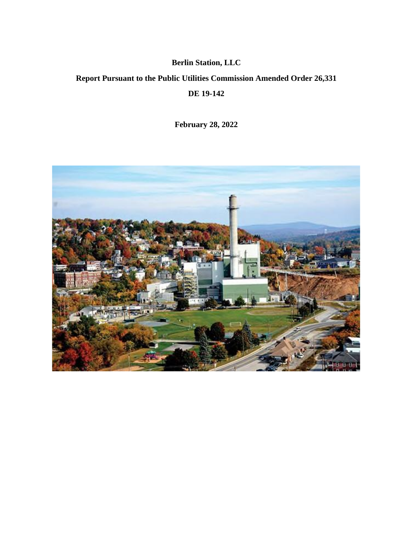# **Berlin Station, LLC**

# **Report Pursuant to the Public Utilities Commission Amended Order 26,331**

**DE 19-142**

**February 28, 2022**

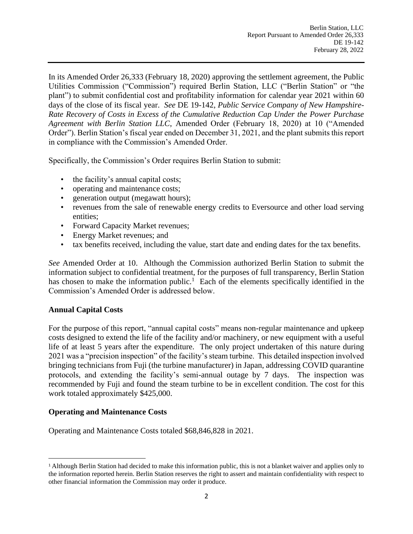In its Amended Order 26,333 (February 18, 2020) approving the settlement agreement, the Public Utilities Commission ("Commission") required Berlin Station, LLC ("Berlin Station" or "the plant") to submit confidential cost and profitability information for calendar year 2021 within 60 days of the close of its fiscal year. *See* DE 19-142, *Public Service Company of New Hampshire-Rate Recovery of Costs in Excess of the Cumulative Reduction Cap Under the Power Purchase Agreement with Berlin Station LLC*, Amended Order (February 18, 2020) at 10 ("Amended Order"). Berlin Station's fiscal year ended on December 31, 2021, and the plant submits this report in compliance with the Commission's Amended Order.

Specifically, the Commission's Order requires Berlin Station to submit:

- the facility's annual capital costs;
- operating and maintenance costs;
- generation output (megawatt hours);
- revenues from the sale of renewable energy credits to Eversource and other load serving entities;
- Forward Capacity Market revenues;
- Energy Market revenues; and
- tax benefits received, including the value, start date and ending dates for the tax benefits.

*See* Amended Order at 10. Although the Commission authorized Berlin Station to submit the information subject to confidential treatment, for the purposes of full transparency, Berlin Station has chosen to make the information public.<sup>1</sup> Each of the elements specifically identified in the Commission's Amended Order is addressed below.

## **Annual Capital Costs**

For the purpose of this report, "annual capital costs" means non-regular maintenance and upkeep costs designed to extend the life of the facility and/or machinery, or new equipment with a useful life of at least 5 years after the expenditure. The only project undertaken of this nature during 2021 was a "precision inspection" of the facility's steam turbine. This detailed inspection involved bringing technicians from Fuji (the turbine manufacturer) in Japan, addressing COVID quarantine protocols, and extending the facility's semi-annual outage by 7 days. The inspection was recommended by Fuji and found the steam turbine to be in excellent condition. The cost for this work totaled approximately \$425,000.

## **Operating and Maintenance Costs**

Operating and Maintenance Costs totaled \$68,846,828 in 2021.

<sup>1</sup> Although Berlin Station had decided to make this information public, this is not a blanket waiver and applies only to the information reported herein. Berlin Station reserves the right to assert and maintain confidentiality with respect to other financial information the Commission may order it produce.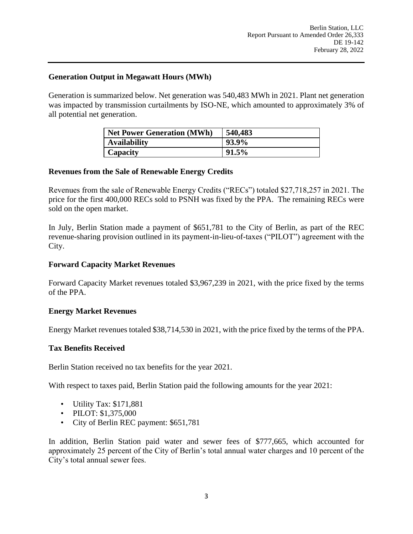### **Generation Output in Megawatt Hours (MWh)**

Generation is summarized below. Net generation was 540,483 MWh in 2021. Plant net generation was impacted by transmission curtailments by ISO-NE, which amounted to approximately 3% of all potential net generation.

| <b>Net Power Generation (MWh)</b> | 540,483 |
|-----------------------------------|---------|
| <b>Availability</b>               | 93.9%   |
| Capacity                          | 91.5%   |

### **Revenues from the Sale of Renewable Energy Credits**

Revenues from the sale of Renewable Energy Credits ("RECs") totaled \$27,718,257 in 2021. The price for the first 400,000 RECs sold to PSNH was fixed by the PPA. The remaining RECs were sold on the open market.

In July, Berlin Station made a payment of \$651,781 to the City of Berlin, as part of the REC revenue-sharing provision outlined in its payment-in-lieu-of-taxes ("PILOT") agreement with the City.

#### **Forward Capacity Market Revenues**

Forward Capacity Market revenues totaled \$3,967,239 in 2021, with the price fixed by the terms of the PPA.

#### **Energy Market Revenues**

Energy Market revenues totaled \$38,714,530 in 2021, with the price fixed by the terms of the PPA.

## **Tax Benefits Received**

Berlin Station received no tax benefits for the year 2021.

With respect to taxes paid, Berlin Station paid the following amounts for the year 2021:

- Utility Tax: \$171,881
- PILOT: \$1,375,000
- City of Berlin REC payment: \$651,781

In addition, Berlin Station paid water and sewer fees of \$777,665, which accounted for approximately 25 percent of the City of Berlin's total annual water charges and 10 percent of the City's total annual sewer fees.